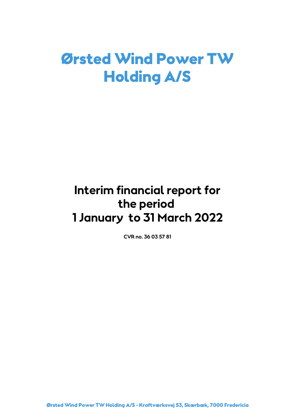# Ørsted Wind Power TW Holding A/S

# **Interim financial report for the period 1 January to 31 March 2022**

**CVR no. 36 03 57 81**

Ørsted Wind Power TW Holding A/S - Kraftværksvej 53, Skærbæk, 7000 Fredericia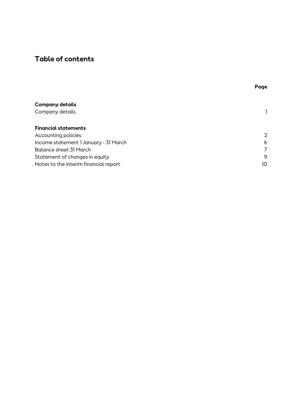# **Table of contents**

|                                       | Page |
|---------------------------------------|------|
|                                       |      |
| Company details                       |      |
| Company details                       |      |
| <b>Financial statements</b>           |      |
| Accounting policies                   | 2    |
| Income statement 1 January - 31 March | 6    |
| Balance sheet 31 March                | 7    |
| Statement of changes in equity        | 9    |
| Notes to the interim financial report | 10   |
|                                       |      |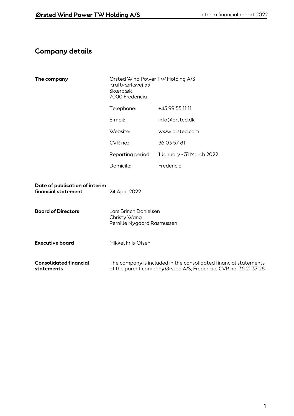# **Company details**

| The company                                           | Ørsted Wind Power TW Holding A/S<br>Kraftværksvej 53<br>Skærbæk<br>7000 Fredericia |                                                                                                                                       |  |
|-------------------------------------------------------|------------------------------------------------------------------------------------|---------------------------------------------------------------------------------------------------------------------------------------|--|
|                                                       | Telephone:                                                                         | +45 99 55 11 11                                                                                                                       |  |
|                                                       | $E$ -mail:                                                                         | info@orsted.dk                                                                                                                        |  |
|                                                       | Website:                                                                           | www.orsted.com                                                                                                                        |  |
|                                                       | $CVR$ no.:                                                                         | 36 03 57 81                                                                                                                           |  |
|                                                       | Reporting period:                                                                  | 1 January - 31 March 2022                                                                                                             |  |
|                                                       | Domicile:                                                                          | Fredericia                                                                                                                            |  |
| Date of publication of interim<br>financial statement | 24 April 2022                                                                      |                                                                                                                                       |  |
| <b>Board of Directors</b>                             | Lars Brinch Danielsen<br>Christy Wang<br>Pernille Nygaard Rasmussen                |                                                                                                                                       |  |
| <b>Executive board</b>                                | Mikkel Friis-Olsen                                                                 |                                                                                                                                       |  |
| <b>Consolidated financial</b><br>statements           |                                                                                    | The company is included in the consolidated financial statements<br>of the parent company Ørsted A/S, Fredericia, CVR no. 36 21 37 28 |  |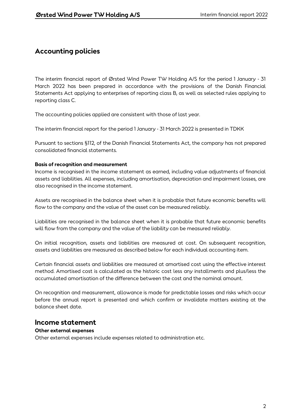The interim financial report of Ørsted Wind Power TW Holding A/S for the period 1 January - 31 March 2022 has been prepared in accordance with the provisions of the Danish Financial Statements Act applying to enterprises of reporting class B, as well as selected rules applying to reporting class C.

The accounting policies applied are consistent with those of last year.

The interim financial report for the period 1 January - 31 March 2022 is presented in TDKK

Pursuant to sections §112, of the Danish Financial Statements Act, the company has not prepared consolidated financial statements.

### **Basis of recognition and measurement**

Income is recognised in the income statement as earned, including value adjustments of financial assets and liabilities. All expenses, including amortisation, depreciation and impairment losses, are also recognised in the income statement.

Assets are recognised in the balance sheet when it is probable that future economic benefits will flow to the company and the value of the asset can be measured reliably.

Liabilities are recognised in the balance sheet when it is probable that future economic benefits will flow from the company and the value of the liability can be measured reliably.

On initial recognition, assets and liabilities are measured at cost. On subsequent recognition, assets and liabilities are measured as described below for each individual accounting item.

Certain financial assets and liabilities are measured at amortised cost using the effective interest method. Amortised cost is calculated as the historic cost less any installments and plus/less the accumulated amortisation of the difference between the cost and the nominal amount.

On recognition and measurement, allowance is made for predictable losses and risks which occur before the annual report is presented and which confirm or invalidate matters existing at the balance sheet date.

### **Income statement**

### **Other external expenses**

Other external expenses include expenses related to administration etc.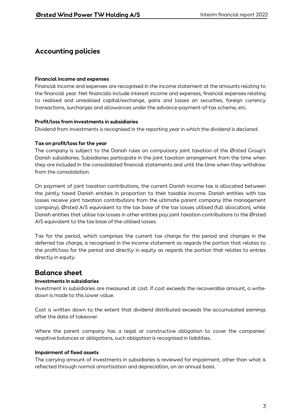### **Financial income and expenses**

Financial income and expenses are recognised in the income statement at the amounts relating to the financial year. Net financials include interest income and expenses, financial expenses relating to realised and unrealised capital/exchange, gains and losses on securities, foreign currency transactions, surcharges and allowances under the advance-payment-of-tax scheme, etc.

### **Profit/loss from investments in subsidiaries**

Dividend from investments is recognised in the reporting year in which the dividend is declared.

### **Tax on profit/loss for the year**

The company is subject to the Danish rules on compulsory joint taxation of the Ørsted Group's Danish subsidiaries. Subsidiaries participate in the joint taxation arrangement from the time when they are included in the consolidated financial statements and until the time when they withdraw from the consolidation.

On payment of joint taxation contributions, the current Danish income tax is allocated between the jointly taxed Danish entities in proportion to their taxable income. Danish entities with tax losses receive joint taxation contributions from the ultimate parent company (the management company), Ørsted A/S equivalent to the tax base of the tax losses utilised (full allocation), while Danish entities that utilise tax losses in other entities pay joint taxation contributions to the Ørsted A/S equivalent to the tax base of the utilised losses.

Tax for the period, which comprises the current tax charge for the period and changes in the deferred tax charge, is recognised in the income statement as regards the portion that relates to the profit/loss for the period and directly in equity as regards the portion that relates to entries directly in equity.

## **Balance sheet**

### **Investments in subsidiaries**

Investment in subsidiaries are measured at cost. If cost exceeds the recoverable amount, a writedown is made to this lower value.

Cost is written down to the extent that dividend distributed exceeds the accumulated earnings after the date of takeover.

Where the parent company has a legal or constructive obligation to cover the companies' negative balances or obligations, such obligation is recognised in liabilities.

### **Impairment of fixed assets**

The carrying amount of investments in subsidiaries is reviewed for impairment, other than what is reflected through normal amortisation and depreciation, on an annual basis.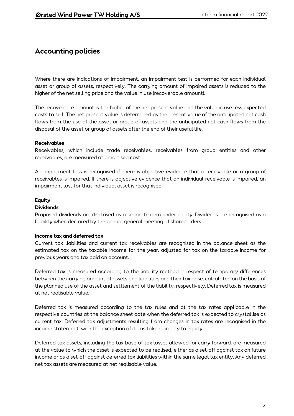Where there are indications of impairment, an impairment test is performed for each individual asset or group of assets, respectively. The carrying amount of impaired assets is reduced to the higher of the net selling price and the value in use (recoverable amount).

The recoverable amount is the higher of the net present value and the value in use less expected costs to sell. The net present value is determined as the present value of the anticipated net cash flows from the use of the asset or group of assets and the anticipated net cash flows from the disposal of the asset or group of assets after the end of their useful life.

### **Receivables**

Receivables, which include trade receivables, receivables from group entities and other receivables, are measured at amortised cost.

An impairment loss is recognised if there is objective evidence that a receivable or a group of receivables is impaired. If there is objective evidence that an individual receivable is impaired, an impairment loss for that individual asset is recognised.

### **Equity**

### **Dividends**

Proposed dividends are disclosed as a separate item under equity. Dividends are recognised as a liability when declared by the annual general meeting of shareholders.

### **Income tax and deferred tax**

Current tax liabilities and current tax receivables are recognised in the balance sheet as the estimated tax on the taxable income for the year, adjusted for tax on the taxable income for previous years and tax paid on account.

Deferred tax is measured according to the liability method in respect of temporary differences between the carrying amount of assets and liabilities and their tax base, calculated on the basis of the planned use of the asset and settlement of the liability, respectively. Deferred tax is measured at net realisable value.

Deferred tax is measured according to the tax rules and at the tax rates applicable in the respective countries at the balance sheet date when the deferred tax is expected to crystallise as current tax. Deferred tax adjustments resulting from changes in tax rates are recognised in the income statement, with the exception of items taken directly to equity.

Deferred tax assets, including the tax base of tax losses allowed for carry forward, are measured at the value to which the asset is expected to be realised, either as a set-off against tax on future income or as a set-off against deferred tax liabilities within the same legal tax entity. Any deferred net tax assets are measured at net realisable value.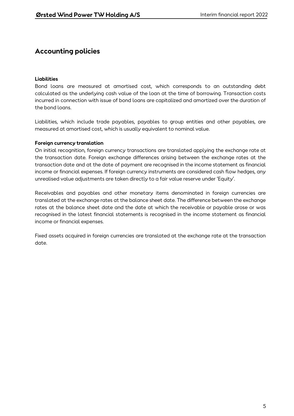### **Liabilities**

Bond loans are measured at amortised cost, which corresponds to an outstanding debt calculated as the underlying cash value of the loan at the time of borrowing. Transaction costs incurred in connection with issue of bond loans are capitalized and amortized over the duration of the bond loans.

Liabilities, which include trade payables, payables to group entities and other payables, are measured at amortised cost, which is usually equivalent to nominal value.

### **Foreign currency translation**

On initial recognition, foreign currency transactions are translated applying the exchange rate at the transaction date. Foreign exchange differences arising between the exchange rates at the transaction date and at the date of payment are recognised in the income statement as financial income or financial expenses. If foreign currency instruments are considered cash flow hedges, any unrealised value adjustments are taken directly to a fair value reserve under 'Equity'.

Receivables and payables and other monetary items denominated in foreign currencies are translated at the exchange rates at the balance sheet date. The difference between the exchange rates at the balance sheet date and the date at which the receivable or payable arose or was recognised in the latest financial statements is recognised in the income statement as financial income or financial expenses.

Fixed assets acquired in foreign currencies are translated at the exchange rate at the transaction date.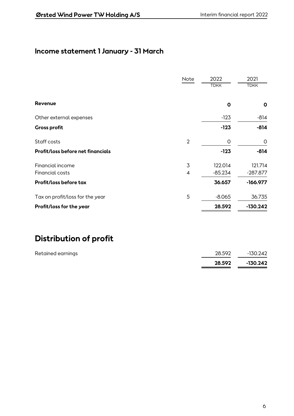# **Income statement 1 January - 31 March**

|                                          | Note           | 2022<br><b>TDKK</b> | 2021<br><b>TDKK</b> |
|------------------------------------------|----------------|---------------------|---------------------|
| Revenue                                  |                | O                   | O                   |
| Other external expenses                  |                | $-123$              | $-814$              |
| <b>Gross profit</b>                      |                | $-123$              | $-814$              |
| Staff costs                              | $\overline{2}$ | O                   | O                   |
| <b>Profit/loss before net financials</b> |                | $-123$              | $-814$              |
| Financial income                         | 3              | 122.014             | 121.714             |
| Financial costs                          | 4              | $-85.234$           | $-287.877$          |
| Profit/loss before tax                   |                | 36.657              | $-166.977$          |
| Tax on profit/loss for the year          | 5              | $-8.065$            | 36.735              |
| Profit/loss for the year                 |                | 28.592              | $-130.242$          |

# **Distribution of profit**

|                   | 28.592 | $-130.242$ |
|-------------------|--------|------------|
| Retained earnings | 28.592 | -130.242   |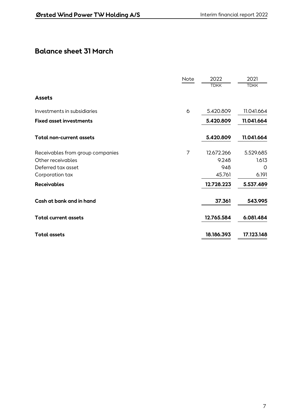# **Balance sheet 31 March**

|                                  | Note | 2022        | 2021        |
|----------------------------------|------|-------------|-------------|
|                                  |      | <b>TDKK</b> | <b>TDKK</b> |
| <b>Assets</b>                    |      |             |             |
| Investments in subsidiaries      | 6    | 5.420.809   | 11.041.664  |
| <b>Fixed asset investments</b>   |      | 5.420.809   | 11.041.664  |
| <b>Total non-current assets</b>  |      | 5.420.809   | 11.041.664  |
| Receivables from group companies | 7    | 12.672.266  | 5.529.685   |
| Other receivables                |      | 9.248       | 1.613       |
| Deferred tax asset               |      | 948         | O           |
| Corporation tax                  |      | 45.761      | 6.191       |
| <b>Receivables</b>               |      | 12.728.223  | 5.537.489   |
| Cash at bank and in hand         |      | 37.361      | 543.995     |
| <b>Total current assets</b>      |      | 12.765.584  | 6.081.484   |
| <b>Total assets</b>              |      | 18.186.393  | 17.123.148  |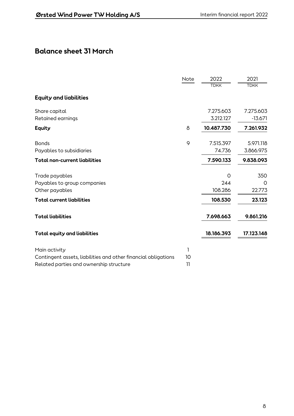# **Balance sheet 31 March**

|                                                                | Note            | 2022        | 2021        |
|----------------------------------------------------------------|-----------------|-------------|-------------|
|                                                                |                 | <b>TDKK</b> | <b>TDKK</b> |
| <b>Equity and liabilities</b>                                  |                 |             |             |
| Share capital                                                  |                 | 7.275.603   | 7.275.603   |
| Retained earnings                                              |                 | 3.212.127   | $-13.671$   |
| <b>Equity</b>                                                  | 8               | 10.487.730  | 7.261.932   |
| <b>Bonds</b>                                                   | 9               | 7.515.397   | 5.971.118   |
| Payables to subsidiaries                                       |                 | 74.736      | 3.866.975   |
| <b>Total non-current liabilities</b>                           |                 | 7.590.133   | 9.838.093   |
| Trade payables                                                 |                 | $\Omega$    | 350         |
| Payables to group companies                                    |                 | 244         | 0           |
| Other payables                                                 |                 | 108.286     | 22.773      |
| <b>Total current liabilities</b>                               |                 | 108.530     | 23.123      |
| <b>Total liabilities</b>                                       |                 | 7.698.663   | 9.861.216   |
| <b>Total equity and liabilities</b>                            |                 | 18.186.393  | 17.123.148  |
| Main activity                                                  | 1               |             |             |
| Contingent assets, liabilities and other financial obligations | 10              |             |             |
| Related parties and ownership structure                        | $\overline{11}$ |             |             |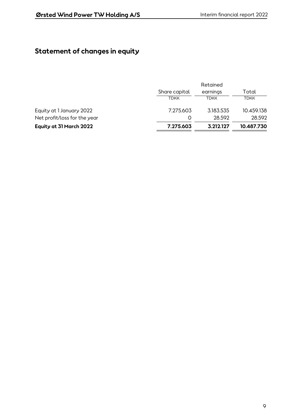# **Statement of changes in equity**

|                              | Retained      |             |             |
|------------------------------|---------------|-------------|-------------|
|                              | Share capital | earnings    | Total       |
|                              | <b>TDKK</b>   | <b>TDKK</b> | <b>TDKK</b> |
| Equity at 1 January 2022     | 7.275.603     | 3.183.535   | 10.459.138  |
| Net profit/loss for the year | O             | 28.592      | 28.592      |
| Equity at 31 March 2022      | 7.275.603     | 3.212.127   | 10.487.730  |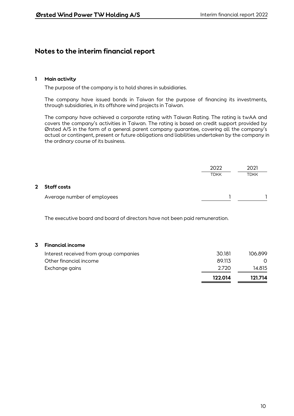### **1 Main activity**

The purpose of the company is to hold shares in subsidiaries.

The company have issued bonds in Taiwan for the purpose of financing its investments, through subsidiaries, in its offshore wind projects in Taiwan.

The company have achieved a corporate rating with Taiwan Rating. The rating is twAA and covers the company's activities in Taiwan. The rating is based on credit support provided by Ørsted A/S in the form of a general parent company guarantee, covering all the company's actual or contingent, present or future obligations and liabilities undertaken by the company in the ordinary course of its business.

|             |                             | 2022        | 2021 |
|-------------|-----------------------------|-------------|------|
|             |                             | <b>TDKK</b> | TDKK |
| $2^{\circ}$ | <b>Staff costs</b>          |             |      |
|             | Average number of employees |             |      |

The executive board and board of directors have not been paid remuneration.

### **3 Financial income**

|                                        | 122.014 | 121.714 |
|----------------------------------------|---------|---------|
| Exchange gains                         | -2.720  | 14.815  |
| Other financial income                 | 89.113  |         |
| Interest received from group companies | 30.181  | 106.899 |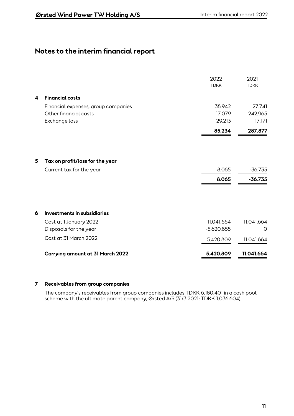|   |                                                             | 2022           | 2021                   |
|---|-------------------------------------------------------------|----------------|------------------------|
|   |                                                             | <b>TDKK</b>    | <b>TDKK</b>            |
| 4 | <b>Financial costs</b>                                      |                |                        |
|   | Financial expenses, group companies                         | 38.942         | 27.741                 |
|   | Other financial costs                                       | 17.079         | 242.965                |
|   | Exchange loss                                               | 29.213         | 17.171                 |
|   |                                                             | 85.234         | 287.877                |
| 5 | Tax on profit/loss for the year<br>Current tax for the year | 8.065<br>8.065 | $-36.735$<br>$-36.735$ |
| 6 | Investments in subsidiaries                                 |                |                        |
|   | Cost at 1 January 2022                                      | 11.041.664     | 11.041.664             |
|   | Disposals for the year                                      | $-5.620.855$   | O                      |
|   | Cost at 31 March 2022                                       | 5.420.809      | 11.041.664             |
|   | Carrying amount at 31 March 2022                            | 5.420.809      | 11.041.664             |

### **7 Receivables from group companies**

The company's receivables from group companies includes TDKK 6.180.401 in a cash pool scheme with the ultimate parent company, Ørsted A/S (31/3 2021: TDKK 1.036.604).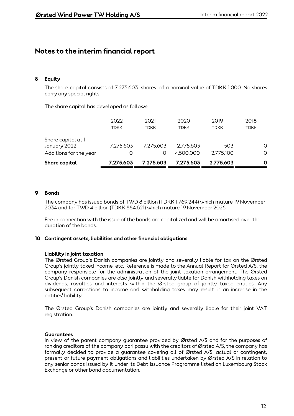### **8 Equity**

The share capital consists of 7.275.603 shares of a nominal value of TDKK 1.000. No shares carry any special rights.

The share capital has developed as follows:

| Share capital                      | 7.275.603   | 7.275.603   | 7.275.603   | 2.775.603   | 0           |
|------------------------------------|-------------|-------------|-------------|-------------|-------------|
| Additions for the year             | O           | O           | 4.500.000   | 2.775.100   | 0           |
| Share capital at 1<br>January 2022 | 7.275.603   | 7.275.603   | 2.775.603   | 503         | 0           |
|                                    | <b>TDKK</b> | <b>TDKK</b> | <b>TDKK</b> | <b>TDKK</b> | <b>TDKK</b> |
|                                    | 2022        | 2021        | 2020        | 2019        | 2018        |

### **9 Bonds**

The company has issued bonds of TWD 8 billion (TDKK 1.769.244) which mature 19 November 2034 and for TWD 4 billion (TDKK 884.621) which mature 19 November 2026.

Fee in connection with the issue of the bonds are capitalized and will be amortised over the duration of the bonds.

#### **10 Contingent assets, liabilities and other financial obligations**

#### **Liability in joint taxation**

The Ørsted Group's Danish companies are jointly and severally liable for tax on the Ørsted Group's jointly taxed income, etc. Reference is made to the Annual Report for Ørsted A/S, the company responsible for the administration of the joint taxation arrangement. The Ørsted Group's Danish companies are also jointly and severally liable for Danish withholding taxes on dividends, royalties and interests within the Ørsted group of jointly taxed entities. Any subsequent corrections to income and withholding taxes may result in an increase in the entities' liability.

The Ørsted Group's Danish companies are jointly and severally liable for their joint VAT registration.

#### **Guarantees**

In view of the parent company guarantee provided by Ørsted A/S and for the purposes of ranking creditors of the company pari passu with the creditors of Ørsted A/S, the company has formally decided to provide a guarantee covering all of Ørsted A/S' actual or contingent, present or future payment obligations and liabilities undertaken by Ørsted A/S in relation to any senior bonds issued by it under its Debt Issuance Programme listed on Luxembourg Stock Exchange or other bond documentation.